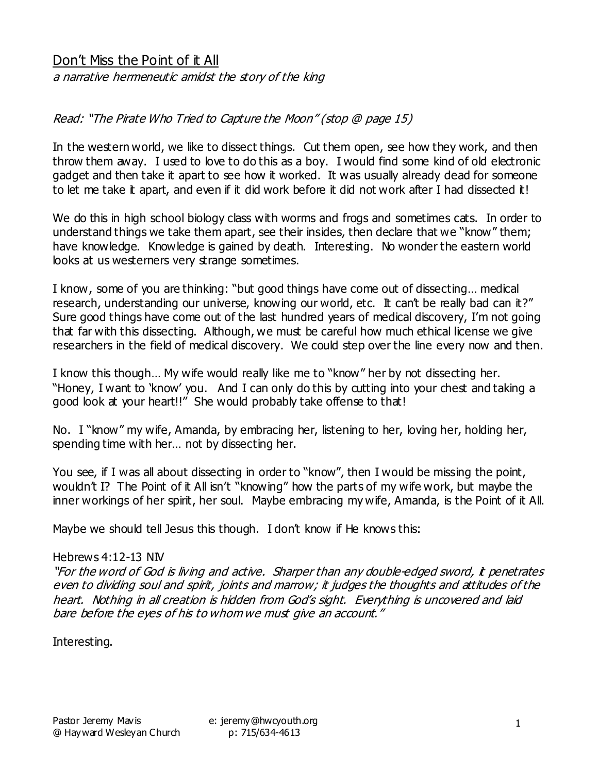# Don't Miss the Point of it All

a narrative hermeneutic amidst the story of the king

## Read: "The Pirate Who Tried to Capture the Moon" (stop @ page 15)

In the western world, we like to dissect things. Cut them open, see how they work, and then throw them away. I used to love to do this as a boy. I would find some kind of old electronic gadget and then take it apart to see how it worked. It was usually already dead for someone to let me take it apart, and even if it did work before it did not work after I had dissected it!

We do this in high school biology class with worms and frogs and sometimes cats. In order to understand things we take them apart, see their insides, then declare that we "know" them; have knowledge. Knowledge is gained by death. Interesting. No wonder the eastern world looks at us westerners very strange sometimes.

I know, some of you are thinking: "but good things have come out of dissecting… medical research, understanding our universe, knowing our world, etc. It can't be really bad can it?" Sure good things have come out of the last hundred years of medical discovery, I'm not going that far with this dissecting. Although, we must be careful how much ethical license we give researchers in the field of medical discovery. We could step over the line every now and then.

I know this though… My wife would really like me to "know" her by not dissecting her. "Honey, I want to 'know' you. And I can only do this by cutting into your chest and taking a good look at your heart!!" She would probably take offense to that!

No. I "know" my wife, Amanda, by embracing her, listening to her, loving her, holding her, spending time with her… not by dissecting her.

You see, if I was all about dissecting in order to "know", then I would be missing the point, wouldn't I? The Point of it All isn't "knowing" how the parts of my wife work, but maybe the inner workings of her spirit, her soul. Maybe embracing my wife, Amanda, is the Point of it All.

Maybe we should tell Jesus this though. I don't know if He knows this:

#### Hebrews 4:12-13 NIV

"For the word of God is living and active. Sharper than any double-edged sword, it penetrates even to dividing soul and spirit, joints and marrow; it judges the thoughts and attitudes of the heart. Nothing in all creation is hidden from God's sight. Everything is uncovered and laid bare before the eyes of his to whom we must give an account."

Interesting.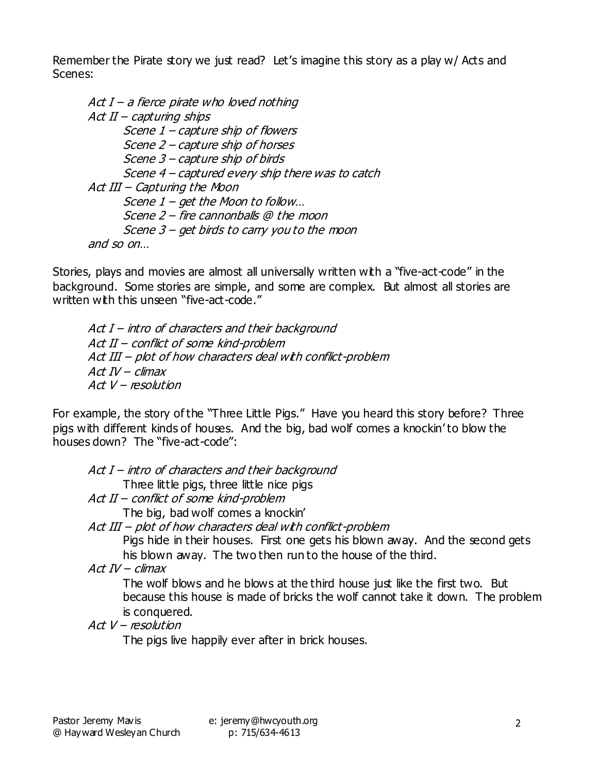Remember the Pirate story we just read? Let's imagine this story as a play w/ Acts and Scenes:

Act  $I$  – a fierce pirate who loved nothing  $Act II - capturing ships$  Scene 1 – capture ship of flowers Scene 2 – capture ship of horses Scene 3 – capture ship of birds Scene 4 – captured every ship there was to catch Act III – Capturing the Moon Scene 1 – get the Moon to follow… Scene 2 – fire cannonballs @ the moon Scene 3 – get birds to carry you to the moon and so on…

Stories, plays and movies are almost all universally written with a "five-act-code" in the background. Some stories are simple, and some are complex. But almost all stories are written with this unseen "five-act-code."

 $Act I$  – intro of characters and their background Act II – conflict of some kind-problem Act III – plot of how characters deal with conflict-problem  $Act$   $IV$  – climax  $Act$   $V$  – resolution

For example, the story of the "Three Little Pigs." Have you heard this story before? Three pigs with different kinds of houses. And the big, bad wolf comes a knockin' to blow the houses down? The "five-act-code":

 $Act I - intro of characters and their background$ Three little pigs, three little nice pigs Act II – conflict of some kind-problem The big, bad wolf comes a knockin' Act III – plot of how characters deal with conflict-problem Pigs hide in their houses. First one gets his blown away. And the second gets his blown away. The two then run to the house of the third.  $Act$   $IV$  – climax

The wolf blows and he blows at the third house just like the first two. But because this house is made of bricks the wolf cannot take it down. The problem is conquered.

 $Act$   $V$  – resolution

The pigs live happily ever after in brick houses.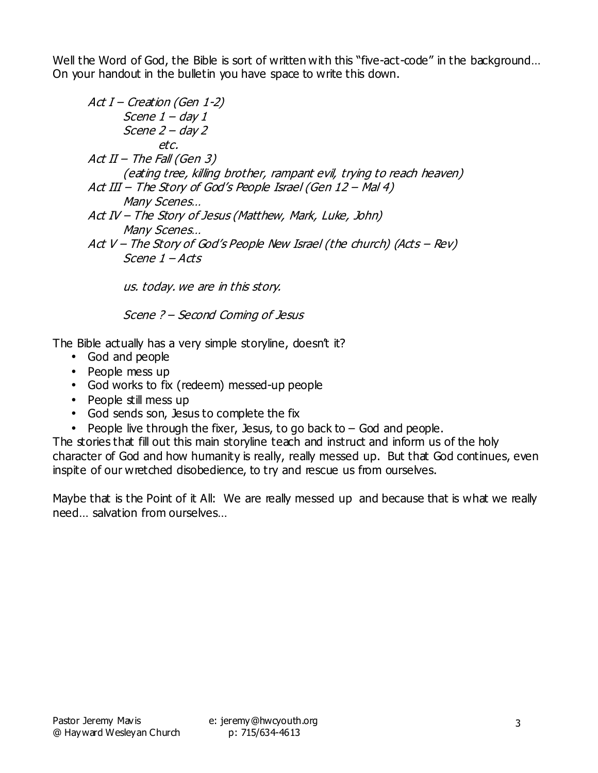Well the Word of God, the Bible is sort of written with this "five-act-code" in the background... On your handout in the bulletin you have space to write this down.

Act I – Creation (Gen 1-2) Scene 1 – day 1 Scene 2 – day 2 etc. Act II – The Fall (Gen 3) (eating tree, killing brother, rampant evil, trying to reach heaven) Act III – The Story of God's People Israel (Gen 12 – Mal 4) Many Scenes… Act IV – The Story of Jesus (Matthew, Mark, Luke, John) Many Scenes… Act V – The Story of God's People New Israel (the church) (Acts – Rev) Scene 1 – Acts us. today. we are in this story.

Scene ? – Second Coming of Jesus

The Bible actually has a very simple storyline, doesn't it?

- God and people
- People mess up
- God works to fix (redeem) messed-up people
- People still mess up
- God sends son, Jesus to complete the fix
- People live through the fixer, Jesus, to go back to  $-$  God and people.

The stories that fill out this main storyline teach and instruct and inform us of the holy character of God and how humanity is really, really messed up. But that God continues, even inspite of our wretched disobedience, to try and rescue us from ourselves.

Maybe that is the Point of it All: We are really messed up and because that is what we really need… salvation from ourselves…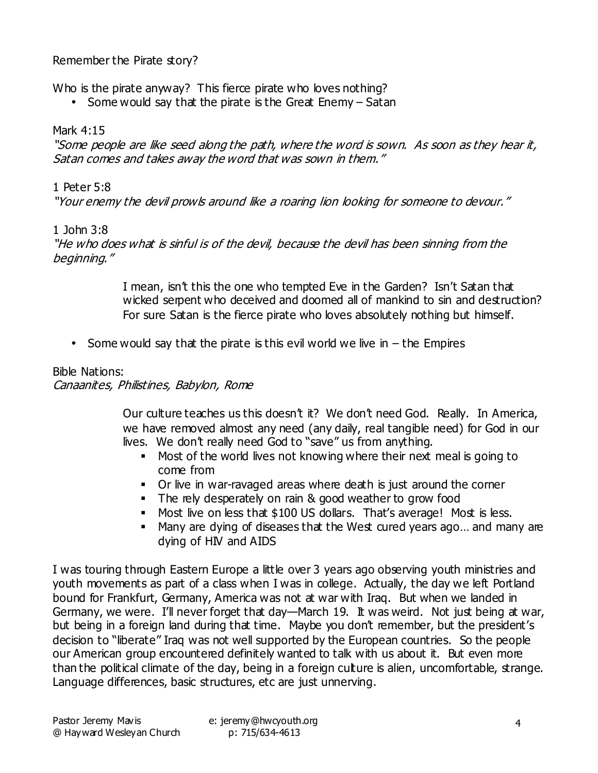## Remember the Pirate story?

Who is the pirate anyway? This fierce pirate who loves nothing?

• Some would say that the pirate is the Great Enemy – Satan

### Mark 4:15

"Some people are like seed along the path, where the word is sown. As soon as they hear it, Satan comes and takes away the word that was sown in them."

## 1 Peter 5:8

"Your enemy the devil prowls around like a roaring lion looking for someone to devour."

#### 1 John 3:8

"He who does what is sinful is of the devil, because the devil has been sinning from the beginning."

> I mean, isn't this the one who tempted Eve in the Garden? Isn't Satan that wicked serpent who deceived and doomed all of mankind to sin and destruction? For sure Satan is the fierce pirate who loves absolutely nothing but himself.

• Some would say that the pirate is this evil world we live in  $-$  the Empires

## Bible Nations: Canaanites, Philistines, Babylon, Rome

Our culture teaches us this doesn't it? We don't need God. Really. In America, we have removed almost any need (any daily, real tangible need) for God in our lives. We don't really need God to "save" us from anything.

- Most of the world lives not knowing where their next meal is going to come from
- Or live in war-ravaged areas where death is just around the corner
- The rely desperately on rain & good weather to grow food
- Most live on less that \$100 US dollars. That's average! Most is less.
- Many are dying of diseases that the West cured years ago... and many are dying of HIV and AIDS

I was touring through Eastern Europe a little over 3 years ago observing youth ministries and youth movements as part of a class when I was in college. Actually, the day we left Portland bound for Frankfurt, Germany, America was not at war with Iraq. But when we landed in Germany, we were. I'll never forget that day—March 19. It was weird. Not just being at war, but being in a foreign land during that time. Maybe you don't remember, but the president's decision to "liberate" Iraq was not well supported by the European countries. So the people our American group encountered definitely wanted to talk with us about it. But even more than the political climate of the day, being in a foreign culture is alien, uncomfortable, strange. Language differences, basic structures, etc are just unnerving.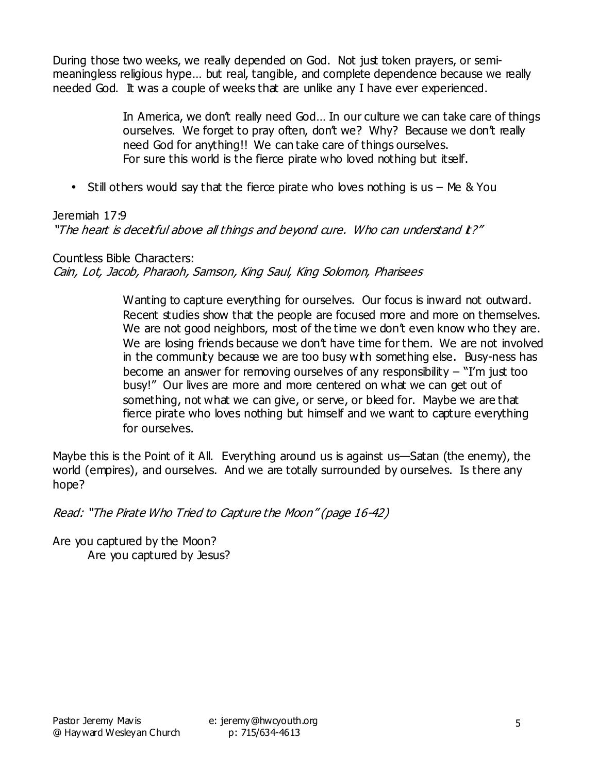During those two weeks, we really depended on God. Not just token prayers, or semimeaningless religious hype… but real, tangible, and complete dependence because we really needed God. It was a couple of weeks that are unlike any I have ever experienced.

> In America, we don't really need God… In our culture we can take care of things ourselves. We forget to pray often, don't we? Why? Because we don't really need God for anything!! We can take care of things ourselves. For sure this world is the fierce pirate who loved nothing but itself.

• Still others would say that the fierce pirate who loves nothing is us – Me & You

## Jeremiah 17:9

"The heart is deceitful above all things and beyond cure. Who can understand it?"

Countless Bible Characters: Cain, Lot, Jacob, Pharaoh, Samson, King Saul, King Solomon, Pharisees

> Wanting to capture everything for ourselves. Our focus is inward not outward. Recent studies show that the people are focused more and more on themselves. We are not good neighbors, most of the time we don't even know who they are. We are losing friends because we don't have time for them. We are not involved in the communty because we are too busy with something else. Busy-ness has become an answer for removing ourselves of any responsibility  $-$  "I'm just too busy!" Our lives are more and more centered on what we can get out of something, not what we can give, or serve, or bleed for. Maybe we are that fierce pirate who loves nothing but himself and we want to capture everything for ourselves.

Maybe this is the Point of it All. Everything around us is against us—Satan (the enemy), the world (empires), and ourselves. And we are totally surrounded by ourselves. Is there any hope?

Read: "The Pirate Who Tried to Capture the Moon" (page 16-42)

Are you captured by the Moon? Are you captured by Jesus?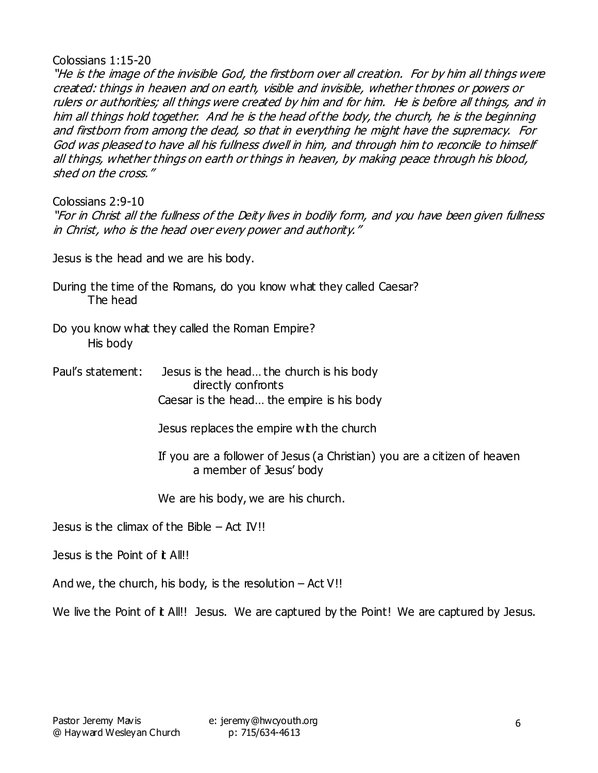Colossians 1:15-20

"He is the image of the invisible God, the firstborn over all creation. For by him all things were created: things in heaven and on earth, visible and invisible, whether thrones or powers or rulers or authorities; all things were created by him and for him. He is before all things, and in him all things hold together. And he is the head of the body, the church, he is the beginning and firstborn from among the dead, so that in everything he might have the supremacy. For God was pleased to have all his fullness dwell in him, and through him to reconcile to himself all things, whether things on earth or things in heaven, by making peace through his blood, shed on the cross."

Colossians 2:9-10

"For in Christ all the fullness of the Deity lives in bodily form, and you have been given fullness in Christ, who is the head over every power and authority."

Jesus is the head and we are his body.

- During the time of the Romans, do you know what they called Caesar? The head
- Do you know what they called the Roman Empire? His body
- Paul's statement: Jesus is the head… the church is his body directly confronts Caesar is the head… the empire is his body
	- Jesus replaces the empire with the church
	- If you are a follower of Jesus (a Christian) you are a citizen of heaven a member of Jesus' body

We are his body, we are his church.

Jesus is the climax of the Bible  $-$  Act IV!!

Jesus is the Point of **t** All!!

And we, the church, his body, is the resolution  $-$  Act V!!

We live the Point of it All!! Jesus. We are captured by the Point! We are captured by Jesus.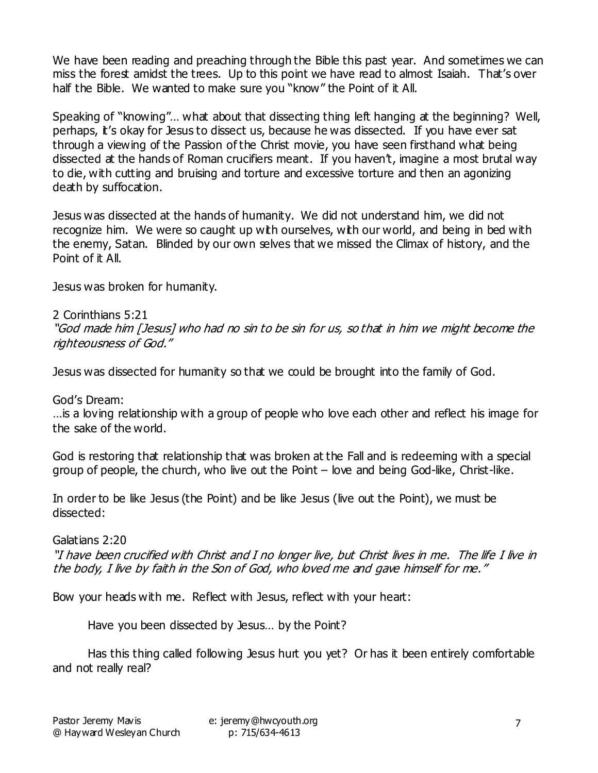We have been reading and preaching through the Bible this past year. And sometimes we can miss the forest amidst the trees. Up to this point we have read to almost Isaiah. That's over half the Bible. We wanted to make sure you "know" the Point of it All.

Speaking of "knowing"… what about that dissecting thing left hanging at the beginning? Well, perhaps, it's okay for Jesus to dissect us, because he was dissected. If you have ever sat through a viewing of the Passion of the Christ movie, you have seen firsthand what being dissected at the hands of Roman crucifiers meant. If you haven't, imagine a most brutal way to die, with cutting and bruising and torture and excessive torture and then an agonizing death by suffocation.

Jesus was dissected at the hands of humanity. We did not understand him, we did not recognize him. We were so caught up with ourselves, with our world, and being in bed with the enemy, Satan. Blinded by our own selves that we missed the Climax of history, and the Point of it All.

Jesus was broken for humanity.

2 Corinthians 5:21 "God made him [Jesus] who had no sin to be sin for us, so that in him we might become the righteousness of God."

Jesus was dissected for humanity so that we could be brought into the family of God.

God's Dream:

…is a loving relationship with a group of people who love each other and reflect his image for the sake of the world.

God is restoring that relationship that was broken at the Fall and is redeeming with a special group of people, the church, who live out the Point – love and being God-like, Christ-like.

In order to be like Jesus (the Point) and be like Jesus (live out the Point), we must be dissected:

Galatians 2:20 "I have been crucified with Christ and I no longer live, but Christ lives in me. The life I live in the body, I live by faith in the Son of God, who loved me and gave himself for me."

Bow your heads with me. Reflect with Jesus, reflect with your heart:

Have you been dissected by Jesus… by the Point?

Has this thing called following Jesus hurt you yet? Or has it been entirely comfortable and not really real?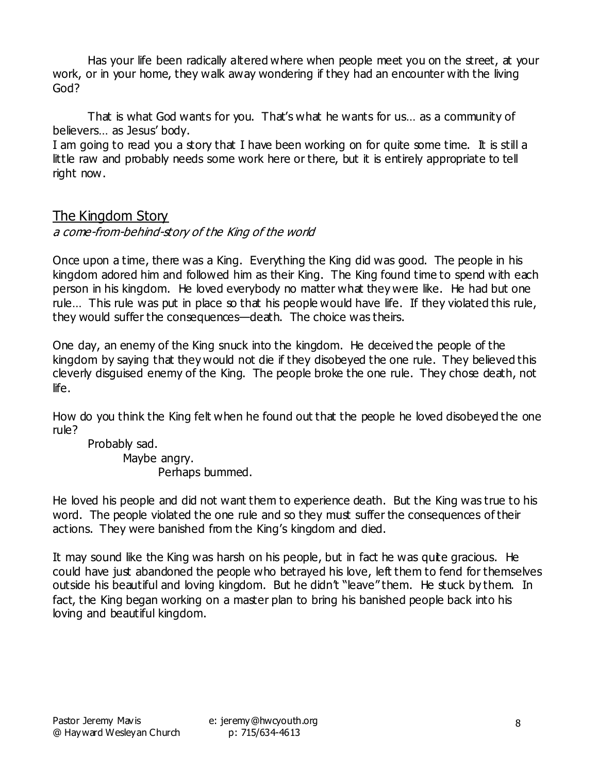Has your life been radically altered where when people meet you on the street, at your work, or in your home, they walk away wondering if they had an encounter with the living God?

That is what God wants for you. That's what he wants for us… as a community of believers… as Jesus' body.

I am going to read you a story that I have been working on for quite some time. It is still a little raw and probably needs some work here or there, but it is entirely appropriate to tell right now.

# The Kingdom Story

## a come-from-behind-story of the King of the world

Once upon a time, there was a King. Everything the King did was good. The people in his kingdom adored him and followed him as their King. The King found time to spend with each person in his kingdom. He loved everybody no matter what they were like. He had but one rule... This rule was put in place so that his people would have life. If they violated this rule, they would suffer the consequences—death. The choice was theirs.

One day, an enemy of the King snuck into the kingdom. He deceived the people of the kingdom by saying that they would not die if they disobeyed the one rule. They believed this cleverly disguised enemy of the King. The people broke the one rule. They chose death, not life.

How do you think the King felt when he found out that the people he loved disobeyed the one rule?

Probably sad. Maybe angry. Perhaps bummed.

He loved his people and did not want them to experience death. But the King was true to his word. The people violated the one rule and so they must suffer the consequences of their actions. They were banished from the King's kingdom and died.

It may sound like the King was harsh on his people, but in fact he was quite gracious. He could have just abandoned the people who betrayed his love, left them to fend for themselves outside his beautiful and loving kingdom. But he didn't "leave" them. He stuck by them. In fact, the King began working on a master plan to bring his banished people back into his loving and beautiful kingdom.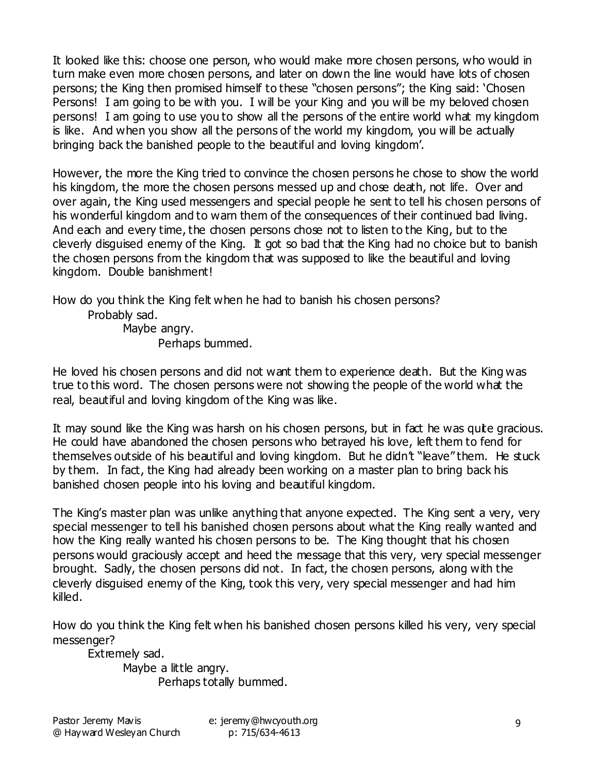It looked like this: choose one person, who would make more chosen persons, who would in turn make even more chosen persons, and later on down the line would have lots of chosen persons; the King then promised himself to these "chosen persons"; the King said: 'Chosen Persons! I am going to be with you. I will be your King and you will be my beloved chosen persons! I am going to use you to show all the persons of the entire world what my kingdom is like. And when you show all the persons of the world my kingdom, you will be actually bringing back the banished people to the beautiful and loving kingdom'.

However, the more the King tried to convince the chosen persons he chose to show the world his kingdom, the more the chosen persons messed up and chose death, not life. Over and over again, the King used messengers and special people he sent to tell his chosen persons of his wonderful kingdom and to warn them of the consequences of their continued bad living. And each and every time, the chosen persons chose not to listen to the King, but to the cleverly disguised enemy of the King. It got so bad that the King had no choice but to banish the chosen persons from the kingdom that was supposed to like the beautiful and loving kingdom. Double banishment!

How do you think the King felt when he had to banish his chosen persons?

Probably sad.

Maybe angry. Perhaps bummed.

He loved his chosen persons and did not want them to experience death. But the King was true to this word. The chosen persons were not showing the people of the world what the real, beautiful and loving kingdom of the King was like.

It may sound like the King was harsh on his chosen persons, but in fact he was quite gracious. He could have abandoned the chosen persons who betrayed his love, left them to fend for themselves outside of his beautiful and loving kingdom. But he didn't "leave" them. He stuck by them. In fact, the King had already been working on a master plan to bring back his banished chosen people into his loving and beautiful kingdom.

The King's master plan was unlike anything that anyone expected. The King sent a very, very special messenger to tell his banished chosen persons about what the King really wanted and how the King really wanted his chosen persons to be. The King thought that his chosen persons would graciously accept and heed the message that this very, very special messenger brought. Sadly, the chosen persons did not. In fact, the chosen persons, along with the cleverly disguised enemy of the King, took this very, very special messenger and had him killed.

How do you think the King felt when his banished chosen persons killed his very, very special messenger?

Extremely sad.

Maybe a little angry. Perhaps totally bummed.